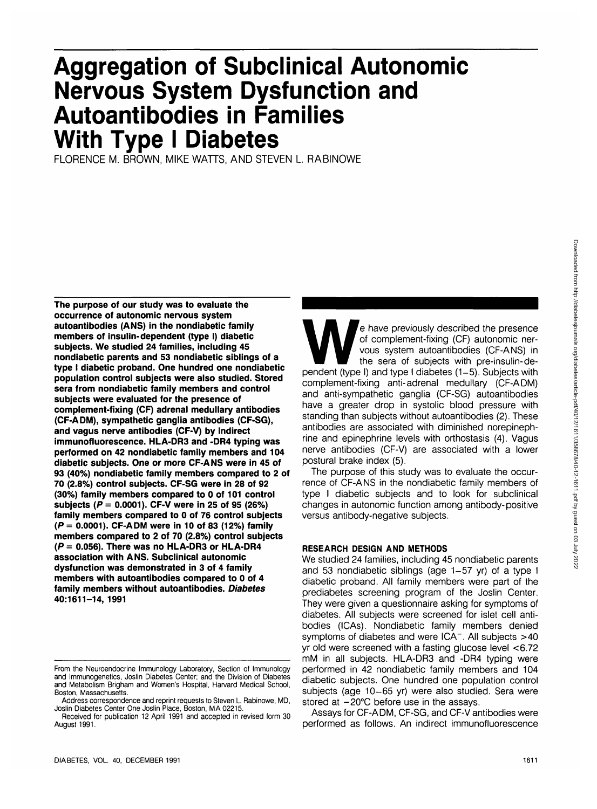# **Aggregation of Subclinical Autonomic Nervous System Dysfunction and Autoantibodies in Families With Type I Diabetes**

FLORENCE M. BROWN, MIKE WATTS, AND STEVEN L RABINOWE

**The purpose of our study was to evaluate the occurrence of autonomic nervous system autoantibodies (ANS) in the nondiabetic family members of insulin-dependent (type I) diabetic subjects. We studied 24 families, including 45 nondiabetic parents and 53 nondiabetic siblings of a type I diabetic proband. One hundred one nondiabetic population control subjects were also studied. Stored sera from nondiabetic family members and control subjects were evaluated for the presence of complement-fixing (CF) adrenal medullary antibodies (CF-ADM), sympathetic ganglia antibodies (CF-SG), and vagus nerve antibodies (CF-V) by indirect immunofluorescence. HLA-DR3 and -DR4 typing was performed on 42 nondiabetic family members and 104 diabetic subjects. One or more CF-ANS were in 45 of 93 (40%) nondiabetic family members compared to 2 of 70 (2.8%) control subjects. CF-SG were in 28 of 92 (30%) family members compared to 0 of 101 control subjects (P = 0.0001). CF-V were in 25 of 95 (26%) family members compared to 0 of 76 control subjects (P = 0.0001). CF-ADM were in 10 of 83 (12%) family members compared to 2 of 70 (2.8%) control subjects (P = 0.056). There was no HLA-DR3 or HLA-DR4 association with ANS. Subclinical autonomic dysfunction was demonstrated in 3 of 4 family members with autoantibodies compared to 0 of 4 family members without autoantibodies. Diabetes 40:1611-14, 1991**

e have previously described the presence<br>of complement-fixing (CF) autonomic ner-<br>vous system autoantibodies (CF-ANS) in<br>the sera of subjects with pre-insulin-de-<br>pendent (type I) and type I diabetes (1–5). Subjects with of complement-fixing (CF) autonomic nervous system autoantibodies (CF-ANS) in the sera of subjects with pre-insulin-decomplement-fixing anti-adrenal medullary (CF-ADM) and anti-sympathetic ganglia (CF-SG) autoantibodies have a greater drop in systolic blood pressure with standing than subjects without autoantibodies (2). These antibodies are associated with diminished norepinephrine and epinephrine levels with orthostasis (4). Vagus nerve antibodies (CF-V) are associated with a lower postural brake index (5). The purpose of this study was to evaluate the occur-

rence of CF-ANS in the nondiabetic family members of type I diabetic subjects and to look for subclinical changes in autonomic function among antibody-positive versus antibody-negative subjects.

### **RESEARCH DESIGN AND METHODS**

We studied 24 families, including 45 nondiabetic parents and 53 nondiabetic siblings (age 1-57 yr) of a type I diabetic proband. All family members were part of the prediabetes screening program of the Joslin Center. They were given a questionnaire asking for symptoms of diabetes. All subjects were screened for islet cell antibodies (ICAs). Nondiabetic family members denied symptoms of diabetes and were ICA<sup>-</sup>. All subjects >40 yr old were screened with a fasting glucose level <6.72 mM in all subjects. HLA-DR3 and -DR4 typing were performed in 42 nondiabetic family members and 104 diabetic subjects. One hundred one population control subjects (age 10-65 yr) were also studied. Sera were stored at  $-20^{\circ}$ C before use in the assays.

Assays for CF-ADM, CF-SG, and CF-V antibodies were performed as follows. An indirect immunofluorescence

From the Neuroendocrine Immunology Laboratory, Section of Immunology and Immunogenetics, Joslin Diabetes Center; and the Division of Diabetes and Metabolism Brigham and Women's Hospital, Harvard Medical School, Boston, Massachusetts.

Address correspondence and reprint requests to Steven L. Rabinowe, MD, Joslin Diabetes Center One Joslin Place, Boston, MA 02215.

Received for publication 12 April 1991 and accepted in revised form 30 August 1991.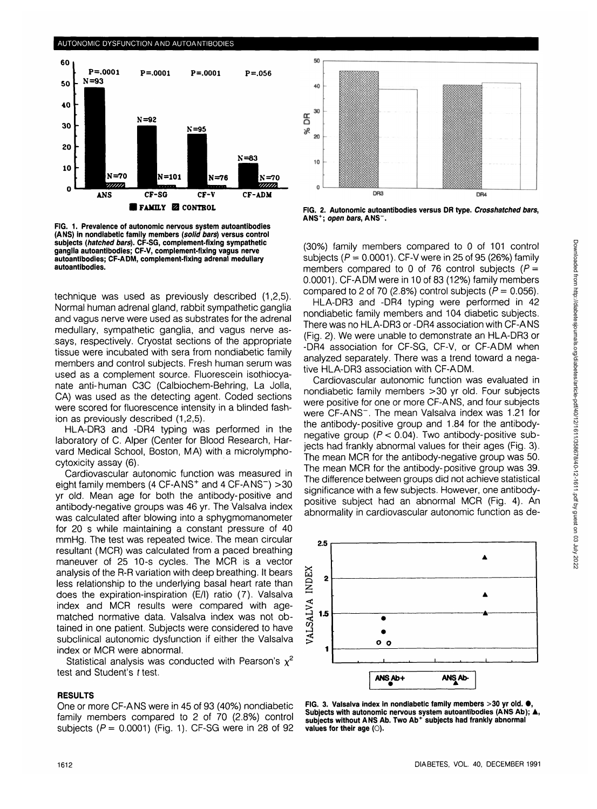

FIG. 1. Prevalence of autonomlc nervous system autoantibodies (ANS) in nondiabetic family members (solid bars) versus control subjects (hatched bars). CF-SG, complement-fixing sympathetic ganglia autoantibodies; CF-V, complement-fixing vagus nerve autoantibodies; CF-ADM, complement-fixing adrenal medullary autoantibodies.

technique was used as previously described (1,2,5). Normal human adrenal gland, rabbit sympathetic ganglia and vagus nerve were used as substrates for the adrenal medullary, sympathetic ganglia, and vagus nerve assays, respectively. Cryostat sections of the appropriate tissue were incubated with sera from nondiabetic family members and control subjects. Fresh human serum was used as a complement source. Fluorescein isothiocyanate anti-human C3C (Calbiochem-Behring, La Jolla, CA) was used as the detecting agent. Coded sections were scored for fluorescence intensity in a blinded fashion as previously described (1,2,5).

HLA-DR3 and -DR4 typing was performed in the laboratory of C. Alper (Center for Blood Research, Harvard Medical School, Boston, MA) with a microlymphocytoxicity assay (6).

Cardiovascular autonomic function was measured in eight family members (4 CF-ANS<sup>+</sup> and 4 CF-ANS<sup>-</sup>) > 30 yr old. Mean age for both the antibody-positive and antibody-negative groups was 46 yr. The Valsalva index was calculated after blowing into a sphygmomanometer for 20 s while maintaining a constant pressure of 40 mmHg. The test was repeated twice. The mean circular resultant (MCR) was calculated from a paced breathing maneuver of 25 10-s cycles. The MCR is a vector analysis of the R-R variation with deep breathing. It bears less relationship to the underlying basal heart rate than does the expiration-inspiration (E/l) ratio (7). Valsalva index and MCR results were compared with agematched normative data. Valsalva index was not obtained in one patient. Subjects were considered to have subclinical autonomic dysfunction if either the Valsalva index or MCR were abnormal.

Statistical analysis was conducted with Pearson's  $x^2$ test and Student's t test.

## **RESULTS**

One or more CF-ANS were in 45 of 93 (40%) nondiabetic family members compared to 2 of 70 (2.8%) control subjects  $(P = 0.0001)$  (Fig. 1). CF-SG were in 28 of 92



FIG. 2. Autonomic autoantibodies versus DR type. Crosshatched bars, ANS<sup>+</sup>; open bars, ANS<sup>-</sup>.

(30%) family members compared to 0 of 101 control subjects ( $P = 0.0001$ ). CF-V were in 25 of 95 (26%) family members compared to 0 of 76 control subjects ( $P =$ 0.0001). CF-ADM were in 10 of 83 (12%) family members compared to 2 of 70 (2.8%) control subjects ( $P = 0.056$ ).

HLA-DR3 and -DR4 typing were performed in 42 nondiabetic family members and 104 diabetic subjects. There was no HLA-DR3 or -DR4 association with CF-ANS (Fig. 2). We were unable to demonstrate an HLA-DR3 or -DR4 association for CF-SG, CF-V, or CF-ADM when analyzed separately. There was a trend toward a negative HLA-DR3 association with CF-ADM.

Cardiovascular autonomic function was evaluated in nondiabetic family members >30 yr old. Four subjects were positive for one or more CF-ANS, and four subjects were CF-ANS". The mean Valsalva index was 1.21 for the antibody-positive group and 1.84 for the antibodynegative group  $(P < 0.04)$ . Two antibody-positive subjects had frankly abnormal values for their ages (Fig. 3). The mean MCR for the antibody-negative group was 50. The mean MCR for the antibody-positive group was 39. The difference between groups did not achieve statistical significance with a few subjects. However, one antibodypositive subject had an abnormal MCR (Fig. 4). An abnormality in cardiovascular autonomic function as de-



FIG. 3. Valsalva index in nondiabetic family members  $>$  30 yr old.  $\bullet$ Subjects with autonomic nervous system autoantibodies (ANS Ab); A, subjects without ANS Ab. Two Ab<sup>+</sup> subjects had frankly abnormal values for their age (O).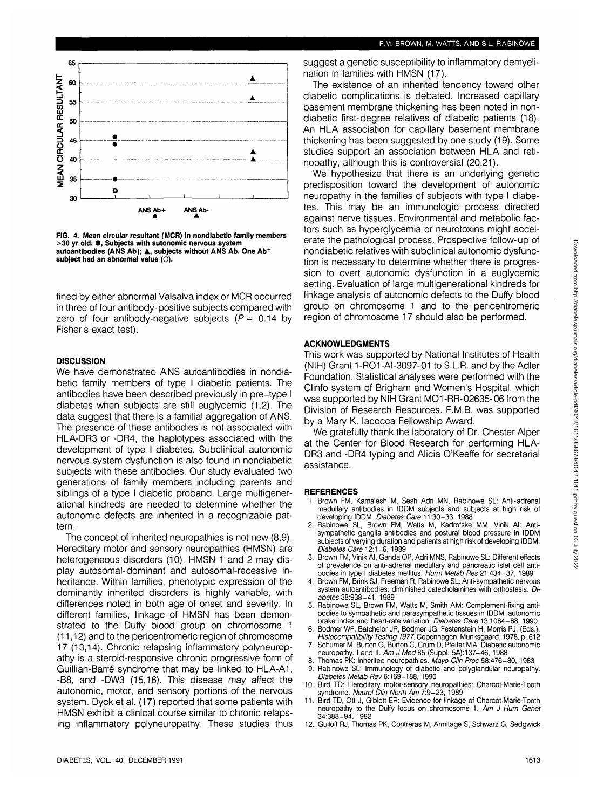

**FIG. 4. Mean circular resultant (MCR) in nondiabetic family members >30 yr old. • , Subjects with autonomic nervous system autoantibodies (ANS Ab); A, subjects without ANS Ab. One Ab<sup>+</sup>** subject had an abnormal value (O).

fined by either abnormal Valsalva index or MCR occurred in three of four antibody-positive subjects compared with zero of four antibody-negative subjects ( $P = 0.14$  by Fisher's exact test).

## **DISCUSSION**

We have demonstrated ANS autoantibodies in nondiabetic family members of type I diabetic patients. The antibodies have been described previously in pre-type I diabetes when subjects are still euglycemic (1,2). The data suggest that there is a familial aggregation of ANS. The presence of these antibodies is not associated with HLA-DR3 or -DR4, the haplotypes associated with the development of type I diabetes. Subclinical autonomic nervous system dysfunction is also found in nondiabetic subjects with these antibodies. Our study evaluated two generations of family members including parents and siblings of a type I diabetic proband. Large multigenerational kindreds are needed to determine whether the autonomic defects are inherited in a recognizable pattern.

The concept of inherited neuropathies is not new (8,9). Hereditary motor and sensory neuropathies (HMSN) are heterogeneous disorders (10). HMSN 1 and 2 may display autosomal-dominant and autosomal-recessive inheritance. Within families, phenotypic expression of the dominantly inherited disorders is highly variable, with differences noted in both age of onset and severity. In different families, linkage of HMSN has been demonstrated to the Duffy blood group on chromosome 1 (11,12) and to the pericentromeric region of chromosome 17 (13,14). Chronic relapsing inflammatory polyneuropathy is a steroid-responsive chronic progressive form of Guillian-Barré syndrome that may be linked to HLA-A1, -B8, and -DW3 (15,16). This disease may affect the autonomic, motor, and sensory portions of the nervous system. Dyck et al. (17) reported that some patients with HMSN exhibit a clinical course similar to chronic relapsing inflammatory polyneuropathy. These studies thus suggest a genetic susceptibility to inflammatory demyelination in families with HMSN (17).

The existence of an inherited tendency toward other diabetic complications is debated. Increased capillary basement membrane thickening has been noted in nondiabetic first-degree relatives of diabetic patients (18). An HLA association for capillary basement membrane thickening has been suggested by one study (19). Some studies support an association between HLA and retinopathy, although this is controversial (20,21).

We hypothesize that there is an underlying genetic predisposition toward the development of autonomic neuropathy in the families of subjects with type I diabetes. This may be an immunologic process directed against nerve tissues. Environmental and metabolic factors such as hyperglycemia or neurotoxins might accelerate the pathological process. Prospective follow-up of nondiabetic relatives with subclinical autonomic dysfunction is necessary to determine whether there is progression to overt autonomic dysfunction in a euglycemic setting. Evaluation of large multigenerational kindreds for linkage analysis of autonomic defects to the Duffy blood group on chromosome 1 and to the pericentromeric region of chromosome 17 should also be performed.

## **ACKNOWLEDGMENTS**

This work was supported by National Institutes of Health (NIH) Grant 1-RO1 -AI-3097-01 to S.L.R. and by the Adler Foundation. Statistical analyses were performed with the Clinfo system of Brigham and Women's Hospital, which was supported by NIH Grant MO1-RR-02635-06 from the Division of Research Resources. F.M.B. was supported by a Mary K. lacocca Fellowship Award.

We gratefully thank the laboratory of Dr. Chester Alper at the Center for Blood Research for performing HLA-DR3 and -DR4 typing and Alicia O'Keeffe for secretarial assistance.

#### **REFERENCES**

- 1. Brown FM, Kamalesh M, Sesh Adri MN, Rabinowe SL: Anti-adrenal medullary antibodies in IDDM subjects and subjects at high risk of developing IDDM. Diabetes Care 11:30-33, 1988
- 2. Rabinowe SL, Brown FM, Watts M, Kadrofske MM, Vinik Al: Antisympathetic ganglia antibodies and postural blood pressure in IDDM subjects of varying duration and patients at high risk of developing IDDM. Diabetes Care 12:1-6,1989
- 3. Brown FM, Vinik Al, Ganda OP, Adri MNS, Rabinowe SL: Different effects of prevalence on anti-adrenal medullary and pancreatic islet cell antibodies in type I diabetes mellitus. Horm Metab Res 21:434-37, 1989
- 4. Brown FM, Brink SJ, Freeman R, Rabinowe SL: Anti-sympathetic nervous system autoantibodies: diminished catecholamines with orthostasis. Diabetes 38:938-41, 1989
- 5. Rabinowe SL, Brown FM, Watts M, Smith AM: Complement-fixing antibodies to sympathetic and parasympathetic tissues in IDDM: autonomic brake index and heart-rate variation. Diabetes Care 13:1084-88, 1990
- 6. Bodmer WF, Batchelor JR, Bodmer JG, Festenstein H, Morris PJ, (Eds.): Histocompatibility Testing 1977. Copenhagen, Munksgaard, 1978, p. 612
- 7. Schumer M, Burton G, Burton C, Crum D, Pfeifer MA: Diabetic autonomic neuropathy. I and II. Am J Med 85 (Suppl. 5A):137-46, 1988 Thomas PK: Inherited neuropathies. Mayo Clin Proc 58:476-80, 1983
- Rabinowe SL: Immunology of diabetic and polyglandular neuropathy.
- Diabetes Metab Rev 6:169-188, 1990 10. Bird TD: Hereditary motor-sensory neuropathies: Charcot-Marie-Tooth
- syndrome. Neurol Clin North Am 7:9-23, 1989 11. Bird TD, Ott J, Giblett ER: Evidence for linkage of Charcot-Marie-Tooth
- neuropathy to the Duffy locus on chromosome 1. Am J Hum Genet 34:388-94, 1982
- 12. Guiloff RJ, Thomas PK, Contreras M, Armitage S, Schwarz G, Sedgwick